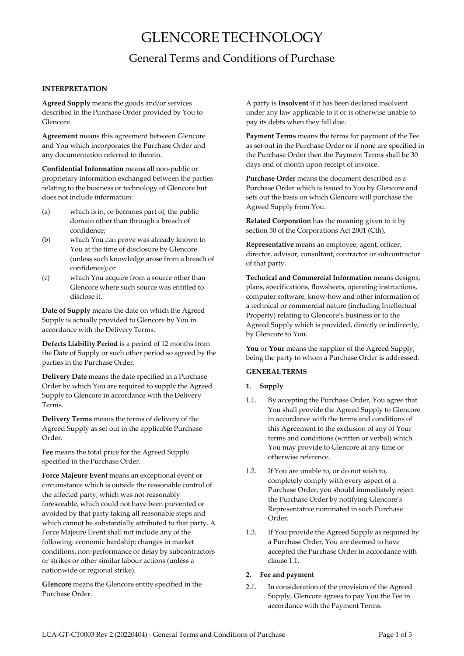# GLENCORETECHNOLOGY

## General Terms and Conditions of Purchase

## **INTERPRETATION**

**Agreed Supply** means the goods and/or services described in the Purchase Order provided by You to Glencore.

**Agreement** means this agreement between Glencore and You which incorporates the Purchase Order and any documentation referred to therein.

**Confidential Information** means all non-public or proprietary information exchanged between the parties relating to the business or technology of Glencore but does not include information:

- (a) which is in, or becomes part of, the public domain other than through a breach of confidence;
- (b) which You can prove was already known to You at the time of disclosure by Glencore (unless such knowledge arose from a breach of confidence); or
- (c) which You acquire from a source other than Glencore where such source was entitled to disclose it.

**Date of Supply** means the date on which the Agreed Supply is actually provided to Glencore by You in accordance with the Delivery Terms.

**Defects Liability Period** is a period of 12 months from the Date of Supply or such other period so agreed by the parties in the Purchase Order.

**Delivery Date** means the date specified in a Purchase Order by which You are required to supply the Agreed Supply to Glencore in accordance with the Delivery Terms.

**Delivery Terms** means the terms of delivery of the Agreed Supply as set out in the applicable Purchase Order.

**Fee** means the total price for the Agreed Supply specified in the Purchase Order.

**Force Majeure Event** means an exceptional event or circumstance which is outside the reasonable control of the affected party, which was not reasonably foreseeable, which could not have been prevented or avoided by that party taking all reasonable steps and which cannot be substantially attributed to that party. A Force Majeure Event shall not include any of the following: economic hardship; changes in market conditions, non-performance or delay by subcontractors or strikes or other similar labour actions (unless a nationwide or regional strike).

**Glencore** means the Glencore entity specified in the Purchase Order.

A party is **Insolvent** if it has been declared insolvent under any law applicable to it or is otherwise unable to pay its debts when they fall due.

**Payment Terms** means the terms for payment of the Fee as set out in the Purchase Order or if none are specified in the Purchase Order then the Payment Terms shall be 30 days end of month upon receipt of invoice.

**Purchase Order** means the document described as a Purchase Order which is issued to You by Glencore and sets out the basis on which Glencore will purchase the Agreed Supply from You.

**Related Corporation** has the meaning given to it by section 50 of the Corporations Act 2001 (Cth).

**Representative** means an employee, agent, officer, director, advisor, consultant, contractor or subcontractor of that party.

**Technical and Commercial Information** means designs, plans, specifications, flowsheets, operating instructions, computer software, know-how and other information of a technical or commercial nature (including Intellectual Property) relating to Glencore's business or to the Agreed Supply which is provided, directly or indirectly, by Glencore to You.

**You** or **Your** means the supplier of the Agreed Supply, being the party to whom a Purchase Order is addressed.

## **GENERALTERMS**

## **1. Supply**

- 1.1. By accepting the Purchase Order, You agree that You shall provide the Agreed Supply to Glencore in accordance with the terms and conditions of this Agreement to the exclusion of any of Your terms and conditions (written or verbal) which You may provide to Glencore at any time or otherwise reference.
- 1.2. If You are unable to, or do not wish to, completely comply with every aspect of a Purchase Order, you should immediately reject the Purchase Order by notifying Glencore's Representative nominated in such Purchase Order.
- 1.3. If You provide the Agreed Supply as required by a Purchase Order, You are deemed to have accepted the Purchase Order in accordance with clause 1.1.

## **2. Fee and payment**

2.1. In consideration of the provision of the Agreed Supply, Glencore agrees to pay You the Fee in accordance with the Payment Terms.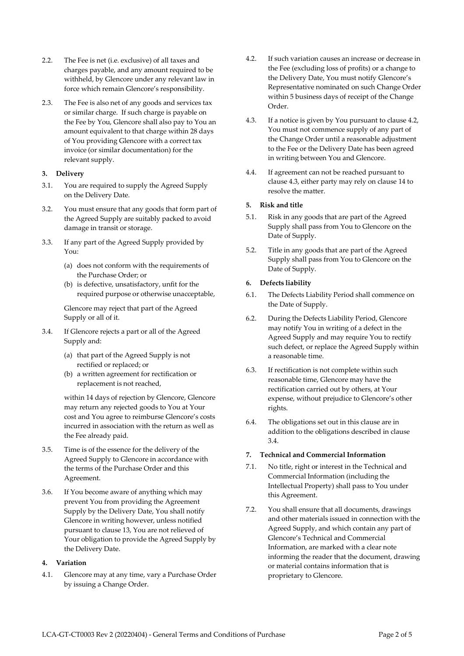- 2.2. The Fee is net (i.e. exclusive) of all taxes and charges payable, and any amount required to be withheld, by Glencore under any relevant law in force which remain Glencore's responsibility.
- 2.3. The Fee is also net of any goods and services tax or similar charge. If such charge is payable on the Fee by You, Glencore shall also pay to You an amount equivalent to that charge within 28 days of You providing Glencore with a correct tax invoice (or similar documentation) for the relevant supply.

## **3. Delivery**

- 3.1. You are required to supply the Agreed Supply on the Delivery Date.
- 3.2. You must ensure that any goods that form part of the Agreed Supply are suitably packed to avoid damage in transit or storage.
- 3.3. If any part of the Agreed Supply provided by You:
	- (a) does not conform with the requirements of the Purchase Order; or
	- (b) is defective, unsatisfactory, unfit for the required purpose or otherwise unacceptable,

Glencore may reject that part of the Agreed Supply or all of it.

- <span id="page-1-1"></span>3.4. If Glencore rejects a part or all of the Agreed Supply and:
	- (a) that part of the Agreed Supply is not rectified or replaced; or
	- (b) a written agreement for rectification or replacement is not reached,

within 14 days of rejection by Glencore, Glencore may return any rejected goods to You at Your cost and You agree to reimburse Glencore's costs incurred in association with the return as well as the Fee already paid.

- 3.5. Time is of the essence for the delivery of the Agreed Supply to Glencore in accordance with the terms of the Purchase Order and this Agreement.
- 3.6. If You become aware of anything which may prevent You from providing the Agreement Supply by the Delivery Date, You shall notify Glencore in writing however, unless notified pursuant to clause [13,](#page-3-0) You are not relieved of Your obligation to provide the Agreed Supply by the Delivery Date.

## **4. Variation**

<span id="page-1-0"></span>4.1. Glencore may at any time, vary a Purchase Order by issuing a Change Order.

- 4.2. If such variation causes an increase or decrease in the Fee (excluding loss of profits) or a change to the Delivery Date, You must notify Glencore's Representative nominated on such Change Order within 5 business days of receipt of the Change Order.
- 4.3. If a notice is given by You pursuant to clause [4.2,](#page-1-0) You must not commence supply of any part of the Change Order until a reasonable adjustment to the Fee or the Delivery Date has been agreed in writing between You and Glencore.
- 4.4. If agreement can not be reached pursuant to clause 4.3, either party may rely on clause [14](#page-3-1) to resolve the matter.

## **5. Risk and title**

- 5.1. Risk in any goods that are part of the Agreed Supply shall pass from You to Glencore on the Date of Supply.
- 5.2. Title in any goods that are part of the Agreed Supply shall pass from You to Glencore on the Date of Supply.

## **6. Defects liability**

- 6.1. The Defects Liability Period shall commence on the Date of Supply.
- 6.2. During the Defects Liability Period, Glencore may notify You in writing of a defect in the Agreed Supply and may require You to rectify such defect, or replace the Agreed Supply within a reasonable time.
- 6.3. If rectification is not complete within such reasonable time, Glencore may have the rectification carried out by others, at Your expense, without prejudice to Glencore's other rights.
- 6.4. The obligations set out in this clause are in addition to the obligations described in claus[e](#page-1-1) [3.4.](#page-1-1)

## **7. Technical and Commercial Information**

- 7.1. No title, right or interest in the Technical and Commercial Information (including the Intellectual Property) shall pass to You under this Agreement.
- 7.2. You shall ensure that all documents, drawings and other materials issued in connection with the Agreed Supply, and which contain any part of Glencore's Technical and Commercial Information, are marked with a clear note informing the reader that the document, drawing or material contains information that is proprietary to Glencore.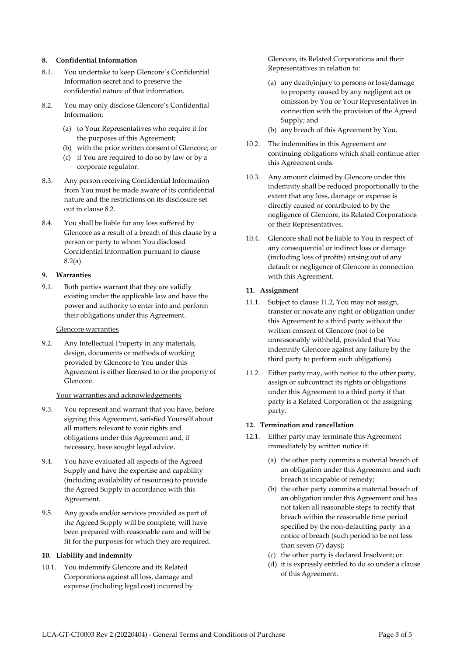## **8. Confidential Information**

- 8.1. You undertake to keep Glencore's Confidential Information secret and to preserve the confidential nature of that information.
- <span id="page-2-0"></span>8.2. You may only disclose Glencore's Confidential Information:
	- (a) to Your Representatives who require it for the purposes of this Agreement;
	- (b) with the prior written consent of Glencore; or
	- (c) if You are required to do so by law or by a corporate regulator.
- 8.3. Any person receiving Confidential Information from You must be made aware of its confidential nature and the restrictions on its disclosure set out in claus[e 8.2.](#page-2-0)
- 8.4. You shall be liable for any loss suffered by Glencore as a result of a breach of this clause by a person or party to whom You disclosed Confidential Information pursuant to clause [8.2\(](#page-2-0)a).

#### **9. Warranties**

9.1. Both parties warrant that they are validly existing under the applicable law and have the power and authority to enter into and perform their obligations under this Agreement.

#### Glencore warranties

9.2. Any Intellectual Property in any materials, design, documents or methods of working provided by Glencore to You under this Agreement is either licensed to or the property of Glencore.

## Your warranties and acknowledgements

- 9.3. You represent and warrant that you have, before signing this Agreement, satisfied Yourself about all matters relevant to your rights and obligations under this Agreement and, if necessary, have sought legal advice.
- 9.4. You have evaluated all aspects of the Agreed Supply and have the expertise and capability (including availability of resources) to provide the Agreed Supply in accordance with this Agreement.
- 9.5. Any goods and/or services provided as part of the Agreed Supply will be complete, will have been prepared with reasonable care and will be fit for the purposes for which they are required.

## **10. Liability and indemnity**

10.1. You indemnify Glencore and its Related Corporations against all loss, damage and expense (including legal cost) incurred by Glencore, its Related Corporations and their Representatives in relation to:

- (a) any death/injury to persons or loss/damage to property caused by any negligent act or omission by You or Your Representatives in connection with the provision of the Agreed Supply; and
- (b) any breach of this Agreement by You.
- 10.2. The indemnities in this Agreement are continuing obligations which shall continue after this Agreement ends.
- 10.3. Any amount claimed by Glencore under this indemnity shall be reduced proportionally to the extent that any loss, damage or expense is directly caused or contributed to by the negligence of Glencore, its Related Corporations or their Representatives.
- 10.4. Glencore shall not be liable to You in respect of any consequential or indirect loss or damage (including loss of profits) arising out of any default or negligence of Glencore in connection with this Agreement.

## **11. Assignment**

- 11.1. Subject to clause [11.2,](#page-2-1) You may not assign, transfer or novate any right or obligation under this Agreement to a third party without the written consent of Glencore (not to be unreasonably withheld, provided that You indemnify Glencore against any failure by the third party to perform such obligations).
- <span id="page-2-1"></span>11.2. Either party may, with notice to the other party, assign or subcontract its rights or obligations under this Agreement to a third party if that party is a Related Corporation of the assigning party.

## <span id="page-2-3"></span>**12. Termination and cancellation**

- <span id="page-2-2"></span>12.1. Either party may terminate this Agreement immediately by written notice if:
	- (a) the other party commits a material breach of an obligation under this Agreement and such breach is incapable of remedy;
	- (b) the other party commits a material breach of an obligation under this Agreement and has not taken all reasonable steps to rectify that breach within the reasonable time period specified by the non-defaulting party in a notice of breach (such period to be not less than seven (7) days);
	- (c) the other party is declared Insolvent; or
	- (d) it is expressly entitled to do so under a clause of this Agreement.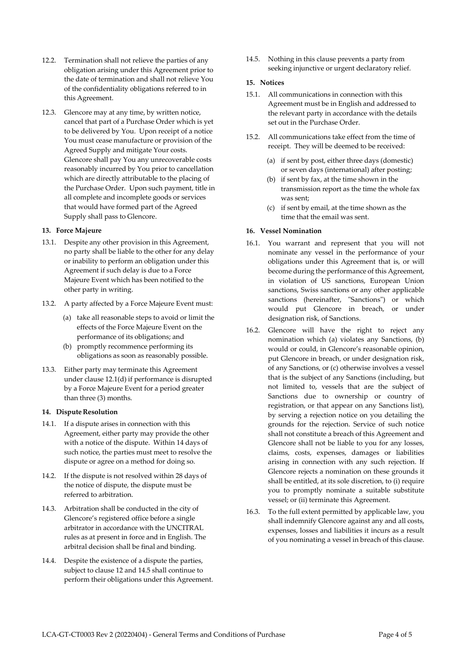- 12.2. Termination shall not relieve the parties of any obligation arising under this Agreement prior to the date of termination and shall not relieve You of the confidentiality obligations referred to in this Agreement.
- 12.3. Glencore may at any time, by written notice, cancel that part of a Purchase Order which is yet to be delivered by You. Upon receipt of a notice You must cease manufacture or provision of the Agreed Supply and mitigate Your costs. Glencore shall pay You any unrecoverable costs reasonably incurred by You prior to cancellation which are directly attributable to the placing of the Purchase Order. Upon such payment, title in all complete and incomplete goods or services that would have formed part of the Agreed Supply shall pass to Glencore.

## <span id="page-3-0"></span>**13. Force Majeure**

- 13.1. Despite any other provision in this Agreement, no party shall be liable to the other for any delay or inability to perform an obligation under this Agreement if such delay is due to a Force Majeure Event which has been notified to the other party in writing.
- 13.2. A party affected by a Force Majeure Event must:
	- (a) take all reasonable steps to avoid or limit the effects of the Force Majeure Event on the performance of its obligations; and
	- (b) promptly recommence performing its obligations as soon as reasonably possible.
- 13.3. Either party may terminate this Agreement under clause [12.1\(](#page-2-2)d) if performance is disrupted by a Force Majeure Event for a period greater than three (3) months.

## <span id="page-3-1"></span>**14. Dispute Resolution**

- 14.1. If a dispute arises in connection with this Agreement, either party may provide the other with a notice of the dispute. Within 14 days of such notice, the parties must meet to resolve the dispute or agree on a method for doing so.
- 14.2. If the dispute is not resolved within 28 days of the notice of dispute, the dispute must be referred to arbitration.
- 14.3. Arbitration shall be conducted in the city of Glencore's registered office before a single arbitrator in accordance with the UNCITRAL rules as at present in force and in English. The arbitral decision shall be final and binding.
- <span id="page-3-2"></span>14.4. Despite the existence of a dispute the parties, subject to clause [12](#page-2-3) and [14.5](#page-3-2) shall continue to perform their obligations under this Agreement.

14.5. Nothing in this clause prevents a party from seeking injunctive or urgent declaratory relief.

## **15. Notices**

- 15.1. All communications in connection with this Agreement must be in English and addressed to the relevant party in accordance with the details set out in the Purchase Order.
- 15.2. All communications take effect from the time of receipt. They will be deemed to be received:
	- (a) if sent by post, either three days (domestic) or seven days (international) after posting;
	- (b) if sent by fax, at the time shown in the transmission report as the time the whole fax was sent;
	- (c) if sent by email, at the time shown as the time that the email was sent.

## **16. Vessel Nomination**

- 16.1. You warrant and represent that you will not nominate any vessel in the performance of your obligations under this Agreement that is, or will become during the performance of this Agreement, in violation of US sanctions, European Union sanctions, Swiss sanctions or any other applicable sanctions (hereinafter, "Sanctions") or which would put Glencore in breach, or under designation risk, of Sanctions.
- 16.2. Glencore will have the right to reject any nomination which (a) violates any Sanctions, (b) would or could, in Glencore's reasonable opinion, put Glencore in breach, or under designation risk, of any Sanctions, or (c) otherwise involves a vessel that is the subject of any Sanctions (including, but not limited to, vessels that are the subject of Sanctions due to ownership or country of registration, or that appear on any Sanctions list), by serving a rejection notice on you detailing the grounds for the rejection. Service of such notice shall not constitute a breach of this Agreement and Glencore shall not be liable to you for any losses, claims, costs, expenses, damages or liabilities arising in connection with any such rejection. If Glencore rejects a nomination on these grounds it shall be entitled, at its sole discretion, to (i) require you to promptly nominate a suitable substitute vessel; or (ii) terminate this Agreement.
- 16.3. To the full extent permitted by applicable law, you shall indemnify Glencore against any and all costs, expenses, losses and liabilities it incurs as a result of you nominating a vessel in breach of this clause.